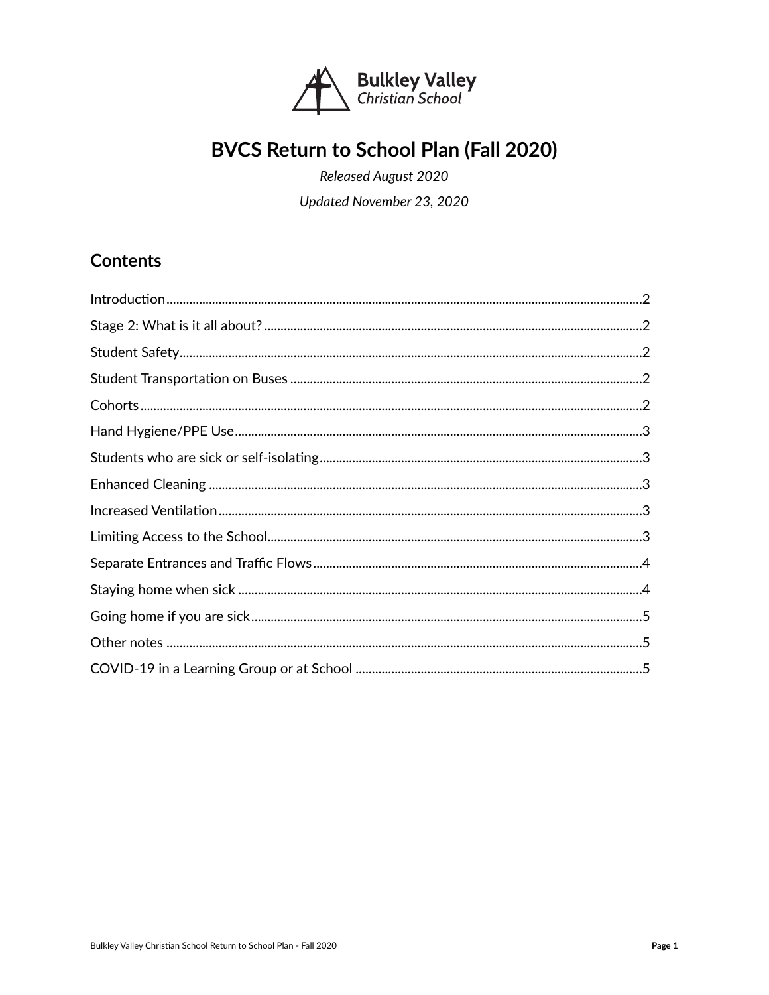

# BVCS Return to School Plan (Fall 2020)

Released August 2020 Updated November 23, 2020

**Contents**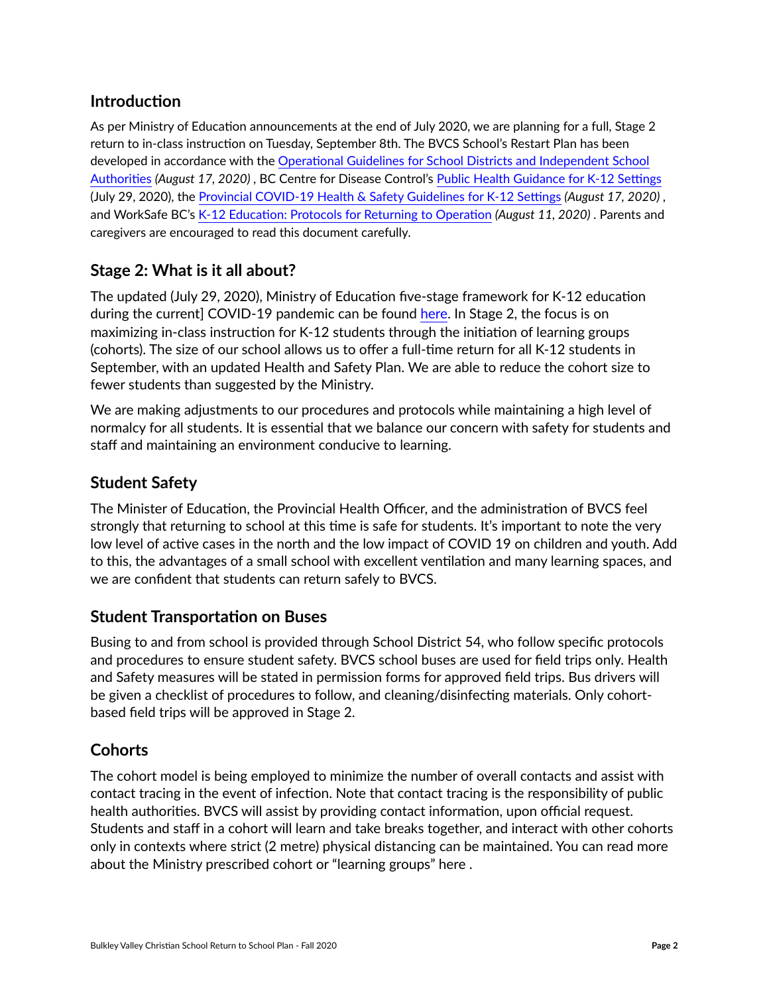# <span id="page-1-0"></span>**Introduction**

As per Ministry of Education announcements at the end of July 2020, we are planning for a full, Stage 2 return to in-class instruction on Tuesday, September 8th. The BVCS School's Restart Plan has been developed in accordance with the [Operational Guidelines for School Districts and Independent School](https://www2.gov.bc.ca/assets/gov/education/administration/kindergarten-to-grade-12/safe-caring-orderly/k-12-covid-19-health-safety-guidlines.pdf)  [Authorities](https://www2.gov.bc.ca/assets/gov/education/administration/kindergarten-to-grade-12/safe-caring-orderly/k-12-covid-19-health-safety-guidlines.pdf) *(August 17, 2020)* , BC Centre for Disease Control's [Public Health Guidance for K-12 Settings](http://www.bccdc.ca/Health-Info-Site/Documents/COVID_public_guidance/Guidance-k-12-schools.pdf) (July 29, 2020), the [Provincial COVID-19 Health & Safety Guidelines for K-12 Settings](https://www2.gov.bc.ca/assets/gov/education/administration/kindergarten-to-grade-12/safe-caring-orderly/k-12-covid-19-health-safety-guidlines.pdf) *(August 17, 2020)* , and WorkSafe BC's [K-12 Education: Protocols for Returning to Operation](https://www.worksafebc.com/en/about-us/covid-19-updates/covid-19-returning-safe-operation/education) *(August 11, 2020)* . Parents and caregivers are encouraged to read this document carefully.

# <span id="page-1-1"></span>**Stage 2: What is it all about?**

The updated (July 29, 2020), Ministry of Education five-stage framework for K-12 education during the current] COVID-19 pandemic can be found [here](https://www2.gov.bc.ca/assets/gov/education/administration/kindergarten-to-grade-12/safe-caring-orderly/k-12-education-restart-plan.pdf). In Stage 2, the focus is on maximizing in-class instruction for K-12 students through the initiation of learning groups (cohorts). The size of our school allows us to offer a full-time return for all K-12 students in September, with an updated Health and Safety Plan. We are able to reduce the cohort size to fewer students than suggested by the Ministry.

We are making adjustments to our procedures and protocols while maintaining a high level of normalcy for all students. It is essential that we balance our concern with safety for students and staff and maintaining an environment conducive to learning.

# <span id="page-1-2"></span>**Student Safety**

The Minister of Education, the Provincial Health Officer, and the administration of BVCS feel strongly that returning to school at this time is safe for students. It's important to note the very low level of active cases in the north and the low impact of COVID 19 on children and youth. Add to this, the advantages of a small school with excellent ventilation and many learning spaces, and we are confident that students can return safely to BVCS.

# <span id="page-1-3"></span>**Student Transportation on Buses**

Busing to and from school is provided through School District 54, who follow specific protocols and procedures to ensure student safety. BVCS school buses are used for field trips only. Health and Safety measures will be stated in permission forms for approved field trips. Bus drivers will be given a checklist of procedures to follow, and cleaning/disinfecting materials. Only cohortbased field trips will be approved in Stage 2.

# <span id="page-1-4"></span>**Cohorts**

The cohort model is being employed to minimize the number of overall contacts and assist with contact tracing in the event of infection. Note that contact tracing is the responsibility of public health authorities. BVCS will assist by providing contact information, upon official request. Students and staff in a cohort will learn and take breaks together, and interact with other cohorts only in contexts where strict (2 metre) physical distancing can be maintained. You can read more about the Ministry prescribed cohort or "learning groups" [here .](https://www2.gov.bc.ca/gov/content/education-training/k-12/covid-19-return-to-school)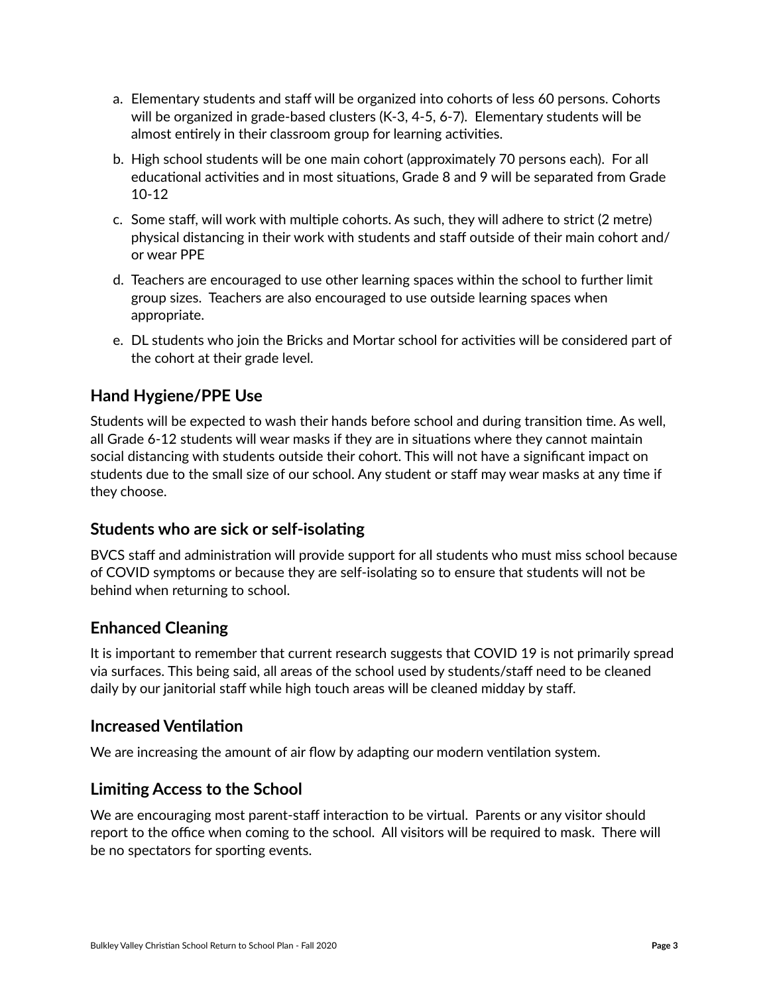- a. Elementary students and staff will be organized into cohorts of less 60 persons. Cohorts will be organized in grade-based clusters (K-3, 4-5, 6-7). Elementary students will be almost entirely in their classroom group for learning activities.
- b. High school students will be one main cohort (approximately 70 persons each). For all educational activities and in most situations, Grade 8 and 9 will be separated from Grade 10-12
- c. Some staff, will work with multiple cohorts. As such, they will adhere to strict (2 metre) physical distancing in their work with students and staff outside of their main cohort and/ or wear PPE
- d. Teachers are encouraged to use other learning spaces within the school to further limit group sizes. Teachers are also encouraged to use outside learning spaces when appropriate.
- e. DL students who join the Bricks and Mortar school for activities will be considered part of the cohort at their grade level.

# <span id="page-2-0"></span>**Hand Hygiene/PPE Use**

Students will be expected to wash their hands before school and during transition time. As well, all Grade 6-12 students will wear masks if they are in situations where they cannot maintain social distancing with students outside their cohort. This will not have a significant impact on students due to the small size of our school. Any student or staff may wear masks at any time if they choose.

## <span id="page-2-1"></span>**Students who are sick or self-isolating**

BVCS staff and administration will provide support for all students who must miss school because of COVID symptoms or because they are self-isolating so to ensure that students will not be behind when returning to school.

## <span id="page-2-2"></span>**Enhanced Cleaning**

It is important to remember that current research suggests that COVID 19 is not primarily spread via surfaces. This being said, all areas of the school used by students/staff need to be cleaned daily by our janitorial staff while high touch areas will be cleaned midday by staff.

#### <span id="page-2-3"></span>**Increased Ventilation**

We are increasing the amount of air flow by adapting our modern ventilation system.

## <span id="page-2-4"></span>**Limiting Access to the School**

We are encouraging most parent-staff interaction to be virtual. Parents or any visitor should report to the office when coming to the school. All visitors will be required to mask. There will be no spectators for sporting events.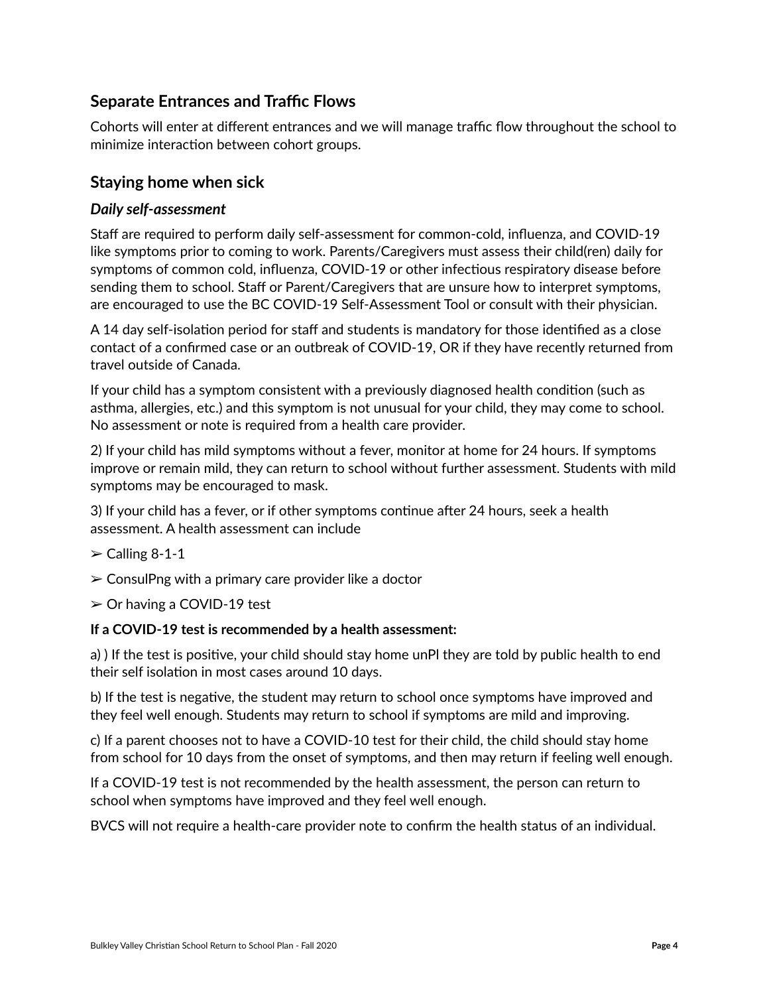# <span id="page-3-0"></span>**Separate Entrances and Traffic Flows**

Cohorts will enter at different entrances and we will manage traffic flow throughout the school to minimize interaction between cohort groups.

### <span id="page-3-1"></span>**Staying home when sick**

#### *Daily self-assessment*

Staff are required to perform daily self-assessment for common-cold, influenza, an[d](http://www.bccdc.ca/health-info/diseases-conditions/covid-19/about-covid-19/symptoms) [COVID-19](http://www.bccdc.ca/health-info/diseases-conditions/covid-19/about-covid-19/symptoms)  [like symptoms](http://www.bccdc.ca/health-info/diseases-conditions/covid-19/about-covid-19/symptoms) prior to coming to work. Parents/Caregivers must assess their child(ren) daily for symptoms of common cold, influenza, COVID-19 or other infectious respiratory disease before sending them to school. Staff or Parent/Caregivers that are unsure how to interpret symptoms, are encouraged to use the [BC COVID-19 Self-Assessment Tool](https://bc.thrive.health/) or consult with their physician.

A 14 day self-isolation period for staff and students is mandatory for those identified as a close contact of a confirmed case or an outbreak of COVID-19, OR if they have recently returned from travel outside of Canada.

If your child has a symptom consistent with a previously diagnosed health condition (such as asthma, allergies, etc.) and this symptom is not unusual for your child, they may come to school. No assessment or note is required from a health care provider.

2) If your child has mild symptoms without a fever, monitor at home for 24 hours. If symptoms improve or remain mild, they can return to school without further assessment. Students with mild symptoms may be encouraged to mask.

3) If your child has a fever, or if other symptoms continue after 24 hours, seek a health assessment. A health assessment can include

- $\ge$  Calling 8-1-1
- $\geq$  ConsulPng with a primary care provider like a doctor
- $\geq$  Or having a COVID-19 test

#### **If a COVID-19 test is recommended by a health assessment:**

a) ) If the test is positive, your child should stay home unPl they are told by public health to end their self isolation in most cases around 10 days.

b) If the test is negative, the student may return to school once symptoms have improved and they feel well enough. Students may return to school if symptoms are mild and improving.

c) If a parent chooses not to have a COVID-10 test for their child, the child should stay home from school for 10 days from the onset of symptoms, and then may return if feeling well enough.

If a COVID-19 test is not recommended by the health assessment, the person can return to school when symptoms have improved and they feel well enough.

BVCS will not require a health-care provider note to confirm the health status of an individual.